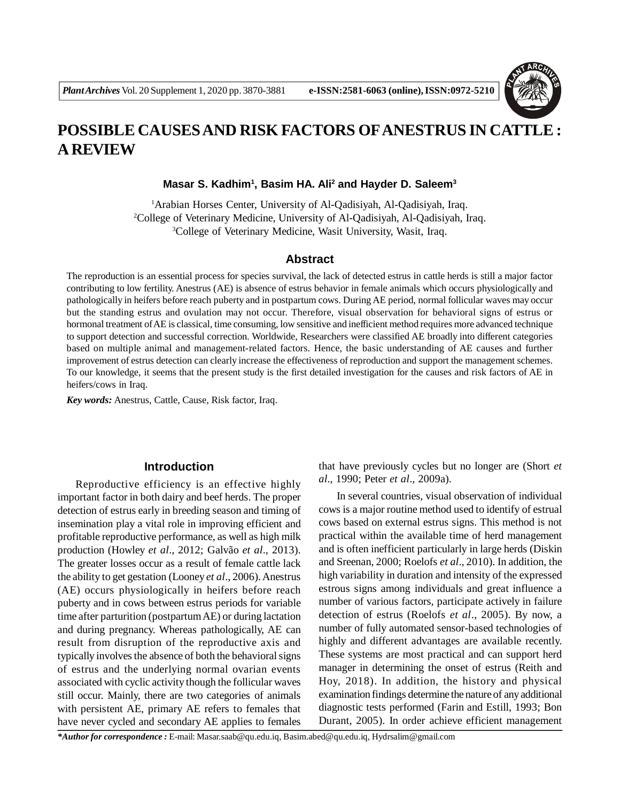

# **POSSIBLE CAUSES AND RISK FACTORS OFANESTRUS IN CATTLE : A REVIEW**

**Masar S. Kadhim<sup>1</sup> , Basim HA. Ali<sup>2</sup> and Hayder D. Saleem<sup>3</sup>**

<sup>1</sup>Arabian Horses Center, University of Al-Qadisiyah, Al-Qadisiyah, Iraq. <sup>2</sup>College of Veterinary Medicine, University of Al-Qadisiyah, Al-Qadisiyah, Iraq. <sup>3</sup>College of Veterinary Medicine, Wasit University, Wasit, Iraq.

#### **Abstract**

The reproduction is an essential process for species survival, the lack of detected estrus in cattle herds is still a major factor contributing to low fertility. Anestrus (AE) is absence of estrus behavior in female animals which occurs physiologically and pathologically in heifers before reach puberty and in postpartum cows. During AE period, normal follicular waves may occur but the standing estrus and ovulation may not occur. Therefore, visual observation for behavioral signs of estrus or hormonal treatment of AE is classical, time consuming, low sensitive and inefficient method requires more advanced technique to support detection and successful correction. Worldwide, Researchers were classified AE broadly into different categories based on multiple animal and management-related factors. Hence, the basic understanding of AE causes and further improvement of estrus detection can clearly increase the effectiveness of reproduction and support the management schemes. To our knowledge, it seems that the present study is the first detailed investigation for the causes and risk factors of AE in heifers/cows in Iraq.

*Key words:* Anestrus, Cattle, Cause, Risk factor, Iraq.

## **Introduction**

Reproductive efficiency is an effective highly important factor in both dairy and beef herds. The proper detection of estrus early in breeding season and timing of insemination play a vital role in improving efficient and profitable reproductive performance, as well as high milk production (Howley *et al*., 2012; Galvão *et al*., 2013). The greater losses occur as a result of female cattle lack the ability to get gestation (Looney *et al*., 2006). Anestrus (AE) occurs physiologically in heifers before reach puberty and in cows between estrus periods for variable time after parturition (postpartum AE) or during lactation and during pregnancy. Whereas pathologically, AE can result from disruption of the reproductive axis and typically involves the absence of both the behavioral signs of estrus and the underlying normal ovarian events associated with cyclic activity though the follicular waves still occur. Mainly, there are two categories of animals with persistent AE, primary AE refers to females that have never cycled and secondary AE applies to females that have previously cycles but no longer are (Short *et al*., 1990; Peter *et al*., 2009a).

In several countries, visual observation of individual cows is a major routine method used to identify of estrual cows based on external estrus signs. This method is not practical within the available time of herd management and is often inefficient particularly in large herds (Diskin and Sreenan, 2000; Roelofs *et al*., 2010). In addition, the high variability in duration and intensity of the expressed estrous signs among individuals and great influence a number of various factors, participate actively in failure detection of estrus (Roelofs *et al*., 2005). By now, a number of fully automated sensor-based technologies of highly and different advantages are available recently. These systems are most practical and can support herd manager in determining the onset of estrus (Reith and Hoy, 2018). In addition, the history and physical examination findings determine the nature of any additional diagnostic tests performed (Farin and Estill, 1993; Bon Durant, 2005). In order achieve efficient management

*\*Author for correspondence :* E-mail: Masar.saab@qu.edu.iq, Basim.abed@qu.edu.iq, Hydrsalim@gmail.com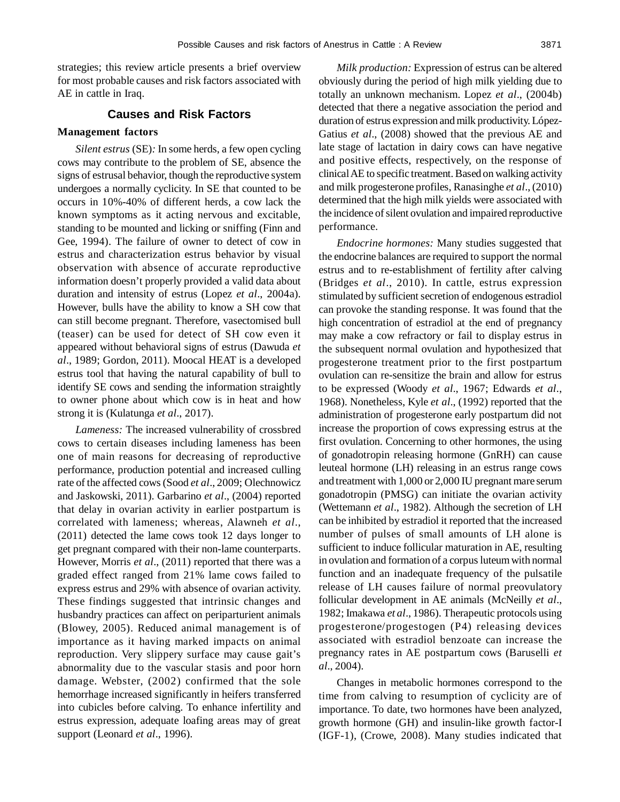strategies; this review article presents a brief overview for most probable causes and risk factors associated with AE in cattle in Iraq.

#### **Causes and Risk Factors**

#### **Management factors**

*Silent estrus* (SE)*:* In some herds, a few open cycling cows may contribute to the problem of SE, absence the signs of estrusal behavior, though the reproductive system undergoes a normally cyclicity. In SE that counted to be occurs in 10%-40% of different herds, a cow lack the known symptoms as it acting nervous and excitable, standing to be mounted and licking or sniffing (Finn and Gee, 1994). The failure of owner to detect of cow in estrus and characterization estrus behavior by visual observation with absence of accurate reproductive information doesn't properly provided a valid data about duration and intensity of estrus (Lopez *et al*., 2004a). However, bulls have the ability to know a SH cow that can still become pregnant. Therefore, vasectomised bull (teaser) can be used for detect of SH cow even it appeared without behavioral signs of estrus (Dawuda *et al*., 1989; Gordon, 2011). Moocal HEAT is a developed estrus tool that having the natural capability of bull to identify SE cows and sending the information straightly to owner phone about which cow is in heat and how strong it is (Kulatunga *et al*., 2017).

*Lameness:* The increased vulnerability of crossbred cows to certain diseases including lameness has been one of main reasons for decreasing of reproductive performance, production potential and increased culling rate of the affected cows (Sood *et al*., 2009; Olechnowicz and Jaskowski, 2011). Garbarino *et al*., (2004) reported that delay in ovarian activity in earlier postpartum is correlated with lameness; whereas, Alawneh *et al*., (2011) detected the lame cows took 12 days longer to get pregnant compared with their non-lame counterparts. However, Morris *et al*., (2011) reported that there was a graded effect ranged from 21% lame cows failed to express estrus and 29% with absence of ovarian activity. These findings suggested that intrinsic changes and husbandry practices can affect on periparturient animals (Blowey, 2005). Reduced animal management is of importance as it having marked impacts on animal reproduction. Very slippery surface may cause gait's abnormality due to the vascular stasis and poor horn damage. Webster, (2002) confirmed that the sole hemorrhage increased significantly in heifers transferred into cubicles before calving. To enhance infertility and estrus expression, adequate loafing areas may of great support (Leonard *et al*., 1996).

*Milk production:* Expression of estrus can be altered obviously during the period of high milk yielding due to totally an unknown mechanism. Lopez *et al*., (2004b) detected that there a negative association the period and duration of estrus expression and milk productivity. López-Gatius *et al*., (2008) showed that the previous AE and late stage of lactation in dairy cows can have negative and positive effects, respectively, on the response of clinical AE to specific treatment. Based on walking activity and milk progesterone profiles, Ranasinghe *et al*., (2010) determined that the high milk yields were associated with the incidence of silent ovulation and impaired reproductive performance.

*Endocrine hormones:* Many studies suggested that the endocrine balances are required to support the normal estrus and to re-establishment of fertility after calving (Bridges *et al*., 2010). In cattle, estrus expression stimulated by sufficient secretion of endogenous estradiol can provoke the standing response. It was found that the high concentration of estradiol at the end of pregnancy may make a cow refractory or fail to display estrus in the subsequent normal ovulation and hypothesized that progesterone treatment prior to the first postpartum ovulation can re-sensitize the brain and allow for estrus to be expressed (Woody *et al*., 1967; Edwards *et al*., 1968). Nonetheless, Kyle *et al*., (1992) reported that the administration of progesterone early postpartum did not increase the proportion of cows expressing estrus at the first ovulation. Concerning to other hormones, the using of gonadotropin releasing hormone (GnRH) can cause leuteal hormone (LH) releasing in an estrus range cows and treatment with 1,000 or 2,000 IU pregnant mare serum gonadotropin (PMSG) can initiate the ovarian activity (Wettemann *et al*., 1982). Although the secretion of LH can be inhibited by estradiol it reported that the increased number of pulses of small amounts of LH alone is sufficient to induce follicular maturation in AE, resulting in ovulation and formation of a corpus luteum with normal function and an inadequate frequency of the pulsatile release of LH causes failure of normal preovulatory follicular development in AE animals (McNeilly *et al*., 1982; Imakawa *et al*., 1986). Therapeutic protocols using progesterone/progestogen (P4) releasing devices associated with estradiol benzoate can increase the pregnancy rates in AE postpartum cows (Baruselli *et al*., 2004).

Changes in metabolic hormones correspond to the time from calving to resumption of cyclicity are of importance. To date, two hormones have been analyzed, growth hormone (GH) and insulin-like growth factor-I (IGF-1), (Crowe, 2008). Many studies indicated that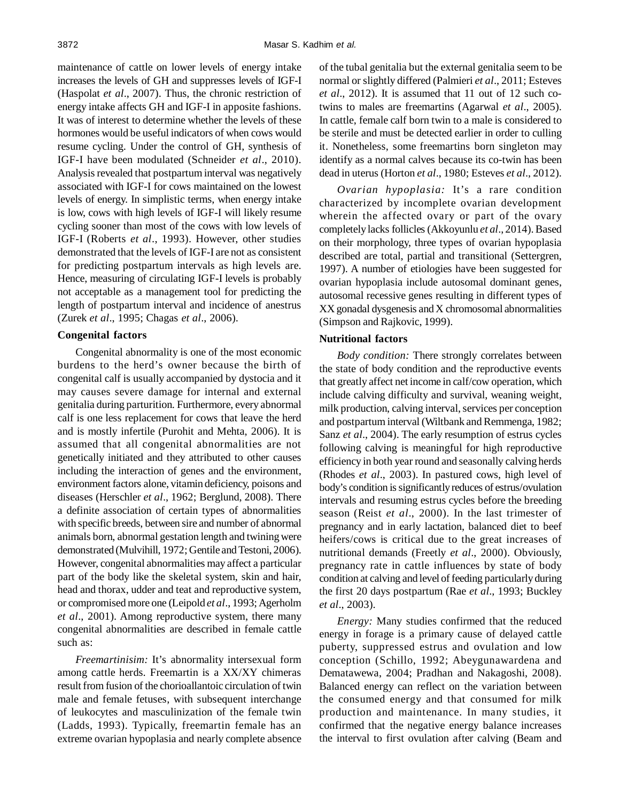maintenance of cattle on lower levels of energy intake increases the levels of GH and suppresses levels of IGF-I (Haspolat *et al*., 2007). Thus, the chronic restriction of energy intake affects GH and IGF-I in apposite fashions. It was of interest to determine whether the levels of these hormones would be useful indicators of when cows would resume cycling. Under the control of GH, synthesis of IGF-I have been modulated (Schneider *et al*., 2010). Analysis revealed that postpartum interval was negatively associated with IGF-I for cows maintained on the lowest levels of energy. In simplistic terms, when energy intake is low, cows with high levels of IGF-I will likely resume cycling sooner than most of the cows with low levels of IGF-I (Roberts *et al*., 1993). However, other studies demonstrated that the levels of IGF-I are not as consistent for predicting postpartum intervals as high levels are. Hence, measuring of circulating IGF-I levels is probably not acceptable as a management tool for predicting the length of postpartum interval and incidence of anestrus (Zurek *et al*., 1995; Chagas *et al*., 2006).

## **Congenital factors**

Congenital abnormality is one of the most economic burdens to the herd's owner because the birth of congenital calf is usually accompanied by dystocia and it may causes severe damage for internal and external genitalia during parturition. Furthermore, every abnormal calf is one less replacement for cows that leave the herd and is mostly infertile (Purohit and Mehta, 2006). It is assumed that all congenital abnormalities are not genetically initiated and they attributed to other causes including the interaction of genes and the environment, environment factors alone, vitamin deficiency, poisons and diseases (Herschler *et al*., 1962; Berglund, 2008). There a definite association of certain types of abnormalities with specific breeds, between sire and number of abnormal animals born, abnormal gestation length and twining were demonstrated (Mulvihill, 1972; Gentile and Testoni, 2006). However, congenital abnormalities may affect a particular part of the body like the skeletal system, skin and hair, head and thorax, udder and teat and reproductive system, or compromised more one (Leipold *et al*., 1993; Agerholm *et al*., 2001). Among reproductive system, there many congenital abnormalities are described in female cattle such as:

*Freemartinisim:* It's abnormality intersexual form among cattle herds. Freemartin is a XX/XY chimeras result from fusion of the chorioallantoic circulation of twin male and female fetuses, with subsequent interchange of leukocytes and masculinization of the female twin (Ladds, 1993). Typically, freemartin female has an extreme ovarian hypoplasia and nearly complete absence of the tubal genitalia but the external genitalia seem to be normal or slightly differed (Palmieri *et al*., 2011; Esteves *et al*., 2012). It is assumed that 11 out of 12 such cotwins to males are freemartins (Agarwal *et al*., 2005). In cattle, female calf born twin to a male is considered to be sterile and must be detected earlier in order to culling it. Nonetheless, some freemartins born singleton may identify as a normal calves because its co-twin has been dead in uterus (Horton *et al*., 1980; Esteves *et al*., 2012).

*Ovarian hypoplasia:* It's a rare condition characterized by incomplete ovarian development wherein the affected ovary or part of the ovary completely lacks follicles (Akkoyunlu *et al*., 2014). Based on their morphology, three types of ovarian hypoplasia described are total, partial and transitional (Settergren, 1997). A number of etiologies have been suggested for ovarian hypoplasia include autosomal dominant genes, autosomal recessive genes resulting in different types of XX gonadal dysgenesis and X chromosomal abnormalities (Simpson and Rajkovic, 1999).

#### **Nutritional factors**

*Body condition:* There strongly correlates between the state of body condition and the reproductive events that greatly affect net income in calf/cow operation, which include calving difficulty and survival, weaning weight, milk production, calving interval, services per conception and postpartum interval (Wiltbank and Remmenga, 1982; Sanz *et al*., 2004). The early resumption of estrus cycles following calving is meaningful for high reproductive efficiency in both year round and seasonally calving herds (Rhodes *et al*., 2003). In pastured cows, high level of body's condition is significantly reduces of estrus/ovulation intervals and resuming estrus cycles before the breeding season (Reist *et al*., 2000). In the last trimester of pregnancy and in early lactation, balanced diet to beef heifers/cows is critical due to the great increases of nutritional demands (Freetly *et al*., 2000). Obviously, pregnancy rate in cattle influences by state of body condition at calving and level of feeding particularly during the first 20 days postpartum (Rae *et al*., 1993; Buckley *et al*., 2003).

*Energy:* Many studies confirmed that the reduced energy in forage is a primary cause of delayed cattle puberty, suppressed estrus and ovulation and low conception (Schillo, 1992; Abeygunawardena and Dematawewa, 2004; Pradhan and Nakagoshi, 2008). Balanced energy can reflect on the variation between the consumed energy and that consumed for milk production and maintenance. In many studies, it confirmed that the negative energy balance increases the interval to first ovulation after calving (Beam and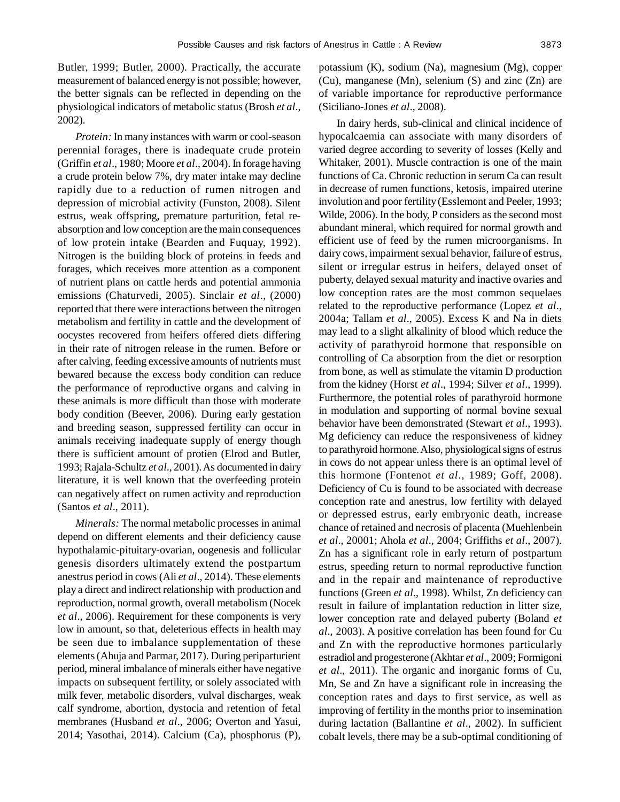Butler, 1999; Butler, 2000). Practically, the accurate measurement of balanced energy is not possible; however, the better signals can be reflected in depending on the physiological indicators of metabolic status (Brosh *et al*.,

*Protein:* In many instances with warm or cool-season perennial forages, there is inadequate crude protein (Griffin *et al*., 1980; Moore *et al*., 2004). In forage having a crude protein below 7%, dry mater intake may decline rapidly due to a reduction of rumen nitrogen and depression of microbial activity (Funston, 2008). Silent estrus, weak offspring, premature parturition, fetal reabsorption and low conception are the main consequences of low protein intake (Bearden and Fuquay, 1992). Nitrogen is the building block of proteins in feeds and forages, which receives more attention as a component of nutrient plans on cattle herds and potential ammonia emissions (Chaturvedi, 2005). Sinclair *et al*., (2000) reported that there were interactions between the nitrogen metabolism and fertility in cattle and the development of oocystes recovered from heifers offered diets differing in their rate of nitrogen release in the rumen. Before or after calving, feeding excessive amounts of nutrients must bewared because the excess body condition can reduce the performance of reproductive organs and calving in these animals is more difficult than those with moderate body condition (Beever, 2006). During early gestation and breeding season, suppressed fertility can occur in animals receiving inadequate supply of energy though there is sufficient amount of protien (Elrod and Butler, 1993; Rajala-Schultz *et al*., 2001). As documented in dairy literature, it is well known that the overfeeding protein can negatively affect on rumen activity and reproduction (Santos *et al*., 2011).

2002).

*Minerals:* The normal metabolic processes in animal depend on different elements and their deficiency cause hypothalamic-pituitary-ovarian, oogenesis and follicular genesis disorders ultimately extend the postpartum anestrus period in cows (Ali *et al*., 2014). These elements play a direct and indirect relationship with production and reproduction, normal growth, overall metabolism (Nocek *et al*., 2006). Requirement for these components is very low in amount, so that, deleterious effects in health may be seen due to imbalance supplementation of these elements (Ahuja and Parmar, 2017). During periparturient period, mineral imbalance of minerals either have negative impacts on subsequent fertility, or solely associated with milk fever, metabolic disorders, vulval discharges, weak calf syndrome, abortion, dystocia and retention of fetal membranes (Husband *et al*., 2006; Overton and Yasui, 2014; Yasothai, 2014). Calcium (Ca), phosphorus (P), potassium (K), sodium (Na), magnesium (Mg), copper (Cu), manganese (Mn), selenium (S) and zinc (Zn) are of variable importance for reproductive performance (Siciliano-Jones *et al*., 2008).

In dairy herds, sub-clinical and clinical incidence of hypocalcaemia can associate with many disorders of varied degree according to severity of losses (Kelly and Whitaker, 2001). Muscle contraction is one of the main functions of Ca. Chronic reduction in serum Ca can result in decrease of rumen functions, ketosis, impaired uterine involution and poor fertility (Esslemont and Peeler, 1993; Wilde, 2006). In the body, P considers as the second most abundant mineral, which required for normal growth and efficient use of feed by the rumen microorganisms. In dairy cows, impairment sexual behavior, failure of estrus, silent or irregular estrus in heifers, delayed onset of puberty, delayed sexual maturity and inactive ovaries and low conception rates are the most common sequelaes related to the reproductive performance (Lopez *et al*., 2004a; Tallam *et al*., 2005). Excess K and Na in diets may lead to a slight alkalinity of blood which reduce the activity of parathyroid hormone that responsible on controlling of Ca absorption from the diet or resorption from bone, as well as stimulate the vitamin D production from the kidney (Horst *et al*., 1994; Silver *et al*., 1999). Furthermore, the potential roles of parathyroid hormone in modulation and supporting of normal bovine sexual behavior have been demonstrated (Stewart *et al*., 1993). Mg deficiency can reduce the responsiveness of kidney to parathyroid hormone. Also, physiological signs of estrus in cows do not appear unless there is an optimal level of this hormone (Fontenot *et al*., 1989; Goff, 2008). Deficiency of Cu is found to be associated with decrease conception rate and anestrus, low fertility with delayed or depressed estrus, early embryonic death, increase chance of retained and necrosis of placenta (Muehlenbein *et al*., 20001; Ahola *et al*., 2004; Griffiths *et al*., 2007). Zn has a significant role in early return of postpartum estrus, speeding return to normal reproductive function and in the repair and maintenance of reproductive functions (Green *et al*., 1998). Whilst, Zn deficiency can result in failure of implantation reduction in litter size, lower conception rate and delayed puberty (Boland *et al*., 2003). A positive correlation has been found for Cu and Zn with the reproductive hormones particularly estradiol and progesterone (Akhtar *et al*., 2009; Formigoni *et al*., 2011). The organic and inorganic forms of Cu, Mn, Se and Zn have a significant role in increasing the conception rates and days to first service, as well as improving of fertility in the months prior to insemination during lactation (Ballantine *et al*., 2002). In sufficient cobalt levels, there may be a sub-optimal conditioning of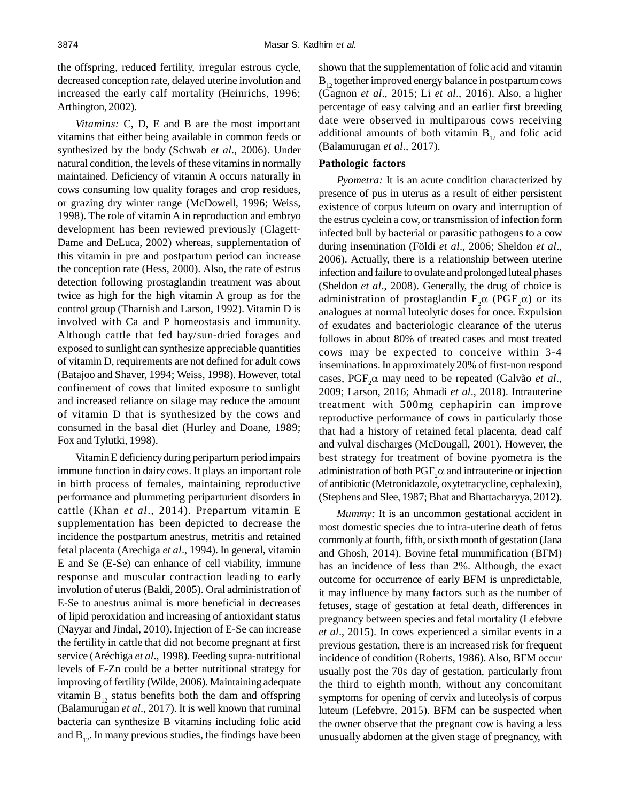the offspring, reduced fertility, irregular estrous cycle, decreased conception rate, delayed uterine involution and increased the early calf mortality (Heinrichs, 1996; Arthington, 2002).

*Vitamins:* C, D, E and B are the most important vitamins that either being available in common feeds or synthesized by the body (Schwab *et al*., 2006). Under natural condition, the levels of these vitamins in normally maintained. Deficiency of vitamin A occurs naturally in cows consuming low quality forages and crop residues, or grazing dry winter range (McDowell, 1996; Weiss, 1998). The role of vitamin A in reproduction and embryo development has been reviewed previously (Clagett-Dame and DeLuca, 2002) whereas, supplementation of this vitamin in pre and postpartum period can increase the conception rate (Hess, 2000). Also, the rate of estrus detection following prostaglandin treatment was about twice as high for the high vitamin A group as for the control group (Tharnish and Larson, 1992). Vitamin D is involved with Ca and P homeostasis and immunity. Although cattle that fed hay/sun-dried forages and exposed to sunlight can synthesize appreciable quantities of vitamin D, requirements are not defined for adult cows (Batajoo and Shaver, 1994; Weiss, 1998). However, total confinement of cows that limited exposure to sunlight and increased reliance on silage may reduce the amount of vitamin D that is synthesized by the cows and consumed in the basal diet (Hurley and Doane, 1989; Fox and Tylutki, 1998).

Vitamin E deficiency during peripartum period impairs immune function in dairy cows. It plays an important role in birth process of females, maintaining reproductive performance and plummeting periparturient disorders in cattle (Khan *et al*., 2014). Prepartum vitamin E supplementation has been depicted to decrease the incidence the postpartum anestrus, metritis and retained fetal placenta (Arechiga *et al*., 1994). In general, vitamin E and Se (E-Se) can enhance of cell viability, immune response and muscular contraction leading to early involution of uterus (Baldi, 2005). Oral administration of E-Se to anestrus animal is more beneficial in decreases of lipid peroxidation and increasing of antioxidant status (Nayyar and Jindal, 2010). Injection of E-Se can increase the fertility in cattle that did not become pregnant at first service (Aréchiga *et al*., 1998). Feeding supra-nutritional levels of E-Zn could be a better nutritional strategy for improving of fertility (Wilde, 2006). Maintaining adequate vitamin  $B_{12}$  status benefits both the dam and offspring (Balamurugan *et al*., 2017). It is well known that ruminal bacteria can synthesize B vitamins including folic acid and  $B_{12}$ . In many previous studies, the findings have been shown that the supplementation of folic acid and vitamin  $B_{12}$  together improved energy balance in postpartum cows (Gagnon *et al*., 2015; Li *et al*., 2016). Also, a higher percentage of easy calving and an earlier first breeding date were observed in multiparous cows receiving additional amounts of both vitamin  $B_{12}$  and folic acid (Balamurugan *et al*., 2017).

## **Pathologic factors**

*Pyometra:* It is an acute condition characterized by presence of pus in uterus as a result of either persistent existence of corpus luteum on ovary and interruption of the estrus cyclein a cow, or transmission of infection form infected bull by bacterial or parasitic pathogens to a cow during insemination (Földi *et al*., 2006; Sheldon *et al*., 2006). Actually, there is a relationship between uterine infection and failure to ovulate and prolonged luteal phases (Sheldon *et al*., 2008). Generally, the drug of choice is administration of prostaglandin  $F_2\alpha$  (PGF<sub>2</sub> $\alpha$ ) or its analogues at normal luteolytic doses for once. Expulsion of exudates and bacteriologic clearance of the uterus follows in about 80% of treated cases and most treated cows may be expected to conceive within 3-4 inseminations. In approximately 20% of first-non respond cases,  $PGF_2\alpha$  may need to be repeated (Galvão *et al.*, 2009; Larson, 2016; Ahmadi *et al*., 2018). Intrauterine treatment with 500mg cephapirin can improve reproductive performance of cows in particularly those that had a history of retained fetal placenta, dead calf and vulval discharges (McDougall, 2001). However, the best strategy for treatment of bovine pyometra is the administration of both  $\mathrm{PGF}_2\alpha$  and intrauterine or injection of antibiotic (Metronidazole, oxytetracycline, cephalexin), (Stephens and Slee, 1987; Bhat and Bhattacharyya, 2012).

*Mummy:* It is an uncommon gestational accident in most domestic species due to intra-uterine death of fetus commonly at fourth, fifth, or sixth month of gestation (Jana and Ghosh, 2014). Bovine fetal mummification (BFM) has an incidence of less than 2%. Although, the exact outcome for occurrence of early BFM is unpredictable, it may influence by many factors such as the number of fetuses, stage of gestation at fetal death, differences in pregnancy between species and fetal mortality (Lefebvre *et al*., 2015). In cows experienced a similar events in a previous gestation, there is an increased risk for frequent incidence of condition (Roberts, 1986). Also, BFM occur usually post the 70s day of gestation, particularly from the third to eighth month, without any concomitant symptoms for opening of cervix and luteolysis of corpus luteum (Lefebvre, 2015). BFM can be suspected when the owner observe that the pregnant cow is having a less unusually abdomen at the given stage of pregnancy, with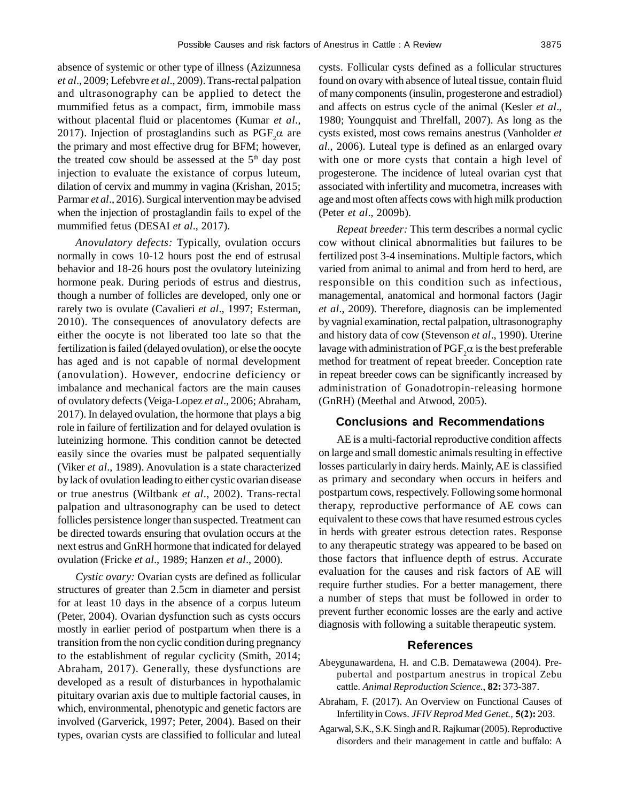absence of systemic or other type of illness (Azizunnesa *et al*., 2009; Lefebvre *et al*., 2009). Trans-rectal palpation and ultrasonography can be applied to detect the mummified fetus as a compact, firm, immobile mass without placental fluid or placentomes (Kumar *et al*., 2017). Injection of prostaglandins such as  $PGF_2\alpha$  are the primary and most effective drug for BFM; however, the treated cow should be assessed at the  $5<sup>th</sup>$  day post injection to evaluate the existance of corpus luteum, dilation of cervix and mummy in vagina (Krishan, 2015; Parmar *et al*., 2016). Surgical intervention may be advised when the injection of prostaglandin fails to expel of the mummified fetus (DESAI *et al*., 2017).

*Anovulatory defects:* Typically, ovulation occurs normally in cows 10-12 hours post the end of estrusal behavior and 18-26 hours post the ovulatory luteinizing hormone peak. During periods of estrus and diestrus, though a number of follicles are developed, only one or rarely two is ovulate (Cavalieri *et al*., 1997; Esterman, 2010). The consequences of anovulatory defects are either the oocyte is not liberated too late so that the fertilization is failed (delayed ovulation), or else the oocyte has aged and is not capable of normal development (anovulation). However, endocrine deficiency or imbalance and mechanical factors are the main causes of ovulatory defects (Veiga-Lopez *et al*., 2006; Abraham, 2017). In delayed ovulation, the hormone that plays a big role in failure of fertilization and for delayed ovulation is luteinizing hormone. This condition cannot be detected easily since the ovaries must be palpated sequentially (Viker *et al*., 1989). Anovulation is a state characterized by lack of ovulation leading to either cystic ovarian disease or true anestrus (Wiltbank *et al*., 2002). Trans-rectal palpation and ultrasonography can be used to detect follicles persistence longer than suspected. Treatment can be directed towards ensuring that ovulation occurs at the next estrus and GnRH hormone that indicated for delayed ovulation (Fricke *et al*., 1989; Hanzen *et al*., 2000).

*Cystic ovary:* Ovarian cysts are defined as follicular structures of greater than 2.5cm in diameter and persist for at least 10 days in the absence of a corpus luteum (Peter, 2004). Ovarian dysfunction such as cysts occurs mostly in earlier period of postpartum when there is a transition from the non cyclic condition during pregnancy to the establishment of regular cyclicity (Smith, 2014; Abraham, 2017). Generally, these dysfunctions are developed as a result of disturbances in hypothalamic pituitary ovarian axis due to multiple factorial causes, in which, environmental, phenotypic and genetic factors are involved (Garverick, 1997; Peter, 2004). Based on their types, ovarian cysts are classified to follicular and luteal cysts. Follicular cysts defined as a follicular structures found on ovary with absence of luteal tissue, contain fluid of many components (insulin, progesterone and estradiol) and affects on estrus cycle of the animal (Kesler *et al*., 1980; Youngquist and Threlfall, 2007). As long as the cysts existed, most cows remains anestrus (Vanholder *et al*., 2006). Luteal type is defined as an enlarged ovary with one or more cysts that contain a high level of progesterone. The incidence of luteal ovarian cyst that associated with infertility and mucometra, increases with age and most often affects cows with high milk production (Peter *et al*., 2009b).

*Repeat breeder:* This term describes a normal cyclic cow without clinical abnormalities but failures to be fertilized post 3-4 inseminations. Multiple factors, which varied from animal to animal and from herd to herd, are responsible on this condition such as infectious, managemental, anatomical and hormonal factors (Jagir *et al*., 2009). Therefore, diagnosis can be implemented by vagnial examination, rectal palpation, ultrasonography and history data of cow (Stevenson *et al*., 1990). Uterine lavage with administration of  $\mathrm{PGF}_2\alpha$  is the best preferable method for treatment of repeat breeder. Conception rate in repeat breeder cows can be significantly increased by administration of Gonadotropin-releasing hormone (GnRH) (Meethal and Atwood, 2005).

#### **Conclusions and Recommendations**

AE is a multi-factorial reproductive condition affects on large and small domestic animals resulting in effective losses particularly in dairy herds. Mainly, AE is classified as primary and secondary when occurs in heifers and postpartum cows, respectively. Following some hormonal therapy, reproductive performance of AE cows can equivalent to these cows that have resumed estrous cycles in herds with greater estrous detection rates. Response to any therapeutic strategy was appeared to be based on those factors that influence depth of estrus. Accurate evaluation for the causes and risk factors of AE will require further studies. For a better management, there a number of steps that must be followed in order to prevent further economic losses are the early and active diagnosis with following a suitable therapeutic system.

## **References**

- Abeygunawardena, H. and C.B. Dematawewa (2004). Prepubertal and postpartum anestrus in tropical Zebu cattle. *Animal Reproduction Science.*, **82:** 373-387.
- Abraham, F. (2017). An Overview on Functional Causes of Infertility in Cows. *JFIV Reprod Med Genet.,* **5(2):** 203.
- Agarwal, S.K., S.K. Singh and R. Rajkumar (2005). Reproductive disorders and their management in cattle and buffalo: A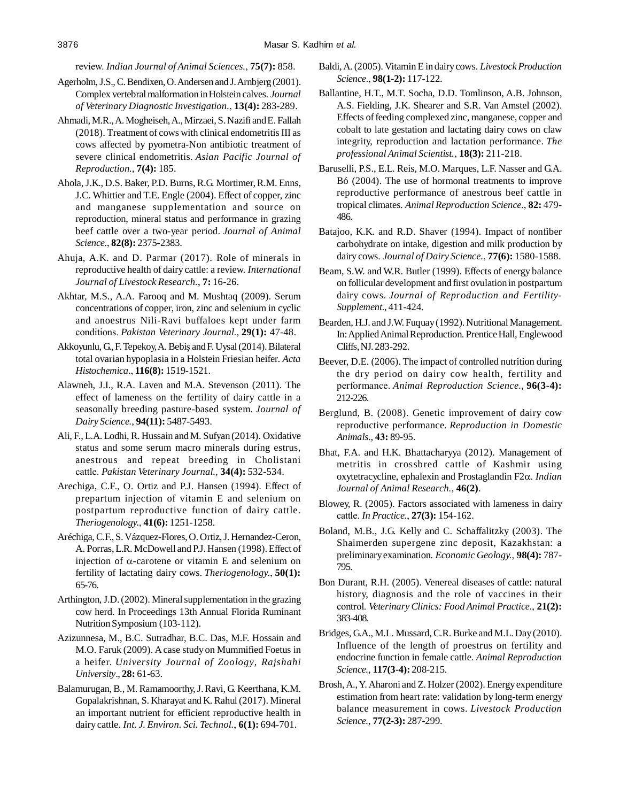review. *Indian Journal of Animal Sciences.*, **75(7):** 858.

- Agerholm, J.S., C. Bendixen, O. Andersen and J. Arnbjerg (2001). Complex vertebral malformation in Holstein calves. *Journal of Veterinary Diagnostic Investigation.*, **13(4):** 283-289.
- Ahmadi, M.R., A. Mogheiseh, A., Mirzaei, S. Nazifi and E. Fallah (2018). Treatment of cows with clinical endometritis III as cows affected by pyometra-Non antibiotic treatment of severe clinical endometritis. *Asian Pacific Journal of Reproduction.,* **7(4):** 185.
- Ahola, J.K., D.S. Baker, P.D. Burns, R.G. Mortimer, R.M. Enns, J.C. Whittier and T.E. Engle (2004). Effect of copper, zinc and manganese supplementation and source on reproduction, mineral status and performance in grazing beef cattle over a two-year period. *Journal of Animal Science.*, **82(8):** 2375-2383.
- Ahuja, A.K. and D. Parmar (2017). Role of minerals in reproductive health of dairy cattle: a review. *International Journal of Livestock Research.*, **7:** 16-26.
- Akhtar, M.S., A.A. Farooq and M. Mushtaq (2009). Serum concentrations of copper, iron, zinc and selenium in cyclic and anoestrus Nili-Ravi buffaloes kept under farm conditions. *Pakistan Veterinary Journal.*, **29(1):** 47-48.
- Akkoyunlu, G., F. Tepekoy, A. Bebiş and F. Uysal (2014). Bilateral total ovarian hypoplasia in a Holstein Friesian heifer. *Acta Histochemica.*, **116(8):** 1519-1521.
- Alawneh, J.I., R.A. Laven and M.A. Stevenson (2011). The effect of lameness on the fertility of dairy cattle in a seasonally breeding pasture-based system. *Journal of Dairy Science.,* **94(11):** 5487-5493.
- Ali, F., L.A. Lodhi, R. Hussain and M. Sufyan (2014). Oxidative status and some serum macro minerals during estrus, anestrous and repeat breeding in Cholistani cattle. *Pakistan Veterinary Journal.,* **34(4):** 532-534.
- Arechiga, C.F., O. Ortiz and P.J. Hansen (1994). Effect of prepartum injection of vitamin E and selenium on postpartum reproductive function of dairy cattle. *Theriogenology.*, **41(6):** 1251-1258.
- Aréchiga, C.F., S. Vázquez-Flores, O. Ortiz, J. Hernandez-Ceron, A. Porras, L.R. McDowell and P.J. Hansen (1998). Effect of injection of  $\alpha$ -carotene or vitamin E and selenium on fertility of lactating dairy cows. *Theriogenology.*, **50(1):** 65-76.
- Arthington, J.D. (2002). Mineral supplementation in the grazing cow herd. In Proceedings 13th Annual Florida Ruminant Nutrition Symposium (103-112).
- Azizunnesa, M., B.C. Sutradhar, B.C. Das, M.F. Hossain and M.O. Faruk (2009). A case study on Mummified Foetus in a heifer. *University Journal of Zoology*, *Rajshahi University*., **28:** 61-63.
- Balamurugan, B., M. Ramamoorthy, J. Ravi, G. Keerthana, K.M. Gopalakrishnan, S. Kharayat and K. Rahul (2017). Mineral an important nutrient for efficient reproductive health in dairy cattle. *Int. J. Environ. Sci. Technol.*, **6(1):** 694-701.
- Baldi, A. (2005). Vitamin E in dairy cows. *Livestock Production Science.*, **98(1-2):** 117-122.
- Ballantine, H.T., M.T. Socha, D.D. Tomlinson, A.B. Johnson, A.S. Fielding, J.K. Shearer and S.R. Van Amstel (2002). Effects of feeding complexed zinc, manganese, copper and cobalt to late gestation and lactating dairy cows on claw integrity, reproduction and lactation performance. *The professional Animal Scientist.*, **18(3):** 211-218.
- Baruselli, P.S., E.L. Reis, M.O. Marques, L.F. Nasser and G.A. Bó (2004). The use of hormonal treatments to improve reproductive performance of anestrous beef cattle in tropical climates. *Animal Reproduction Science.*, **82:** 479- 486.
- Batajoo, K.K. and R.D. Shaver (1994). Impact of nonfiber carbohydrate on intake, digestion and milk production by dairy cows. *Journal of Dairy Science.*, **77(6):** 1580-1588.
- Beam, S.W. and W.R. Butler (1999). Effects of energy balance on follicular development and first ovulation in postpartum dairy cows. *Journal of Reproduction and Fertility-Supplement.*, 411-424.
- Bearden, H.J. and J.W. Fuquay (1992). Nutritional Management. In: Applied Animal Reproduction. Prentice Hall, Englewood Cliffs, NJ. 283-292.
- Beever, D.E. (2006). The impact of controlled nutrition during the dry period on dairy cow health, fertility and performance. *Animal Reproduction Science.,* **96(3-4):** 212-226.
- Berglund, B. (2008). Genetic improvement of dairy cow reproductive performance. *Reproduction in Domestic Animals.*, **43:** 89-95.
- Bhat, F.A. and H.K. Bhattacharyya (2012). Management of metritis in crossbred cattle of Kashmir using oxytetracycline, ephalexin and Prostaglandin F2. *Indian Journal of Animal Research.*, **46(2)**.
- Blowey, R. (2005). Factors associated with lameness in dairy cattle. *In Practice.*, **27(3):** 154-162.
- Boland, M.B., J.G. Kelly and C. Schaffalitzky (2003). The Shaimerden supergene zinc deposit, Kazakhstan: a preliminary examination. *Economic Geology.*, **98(4):** 787- 795.
- Bon Durant, R.H. (2005). Venereal diseases of cattle: natural history, diagnosis and the role of vaccines in their control. *Veterinary Clinics: Food Animal Practice.*, **21(2):** 383-408.
- Bridges, G.A., M.L. Mussard, C.R. Burke and M.L. Day (2010). Influence of the length of proestrus on fertility and endocrine function in female cattle. *Animal Reproduction Science.,* **117(3-4):** 208-215.
- Brosh, A., Y. Aharoni and Z. Holzer (2002). Energy expenditure estimation from heart rate: validation by long-term energy balance measurement in cows. *Livestock Production Science.,* **77(2-3):** 287-299.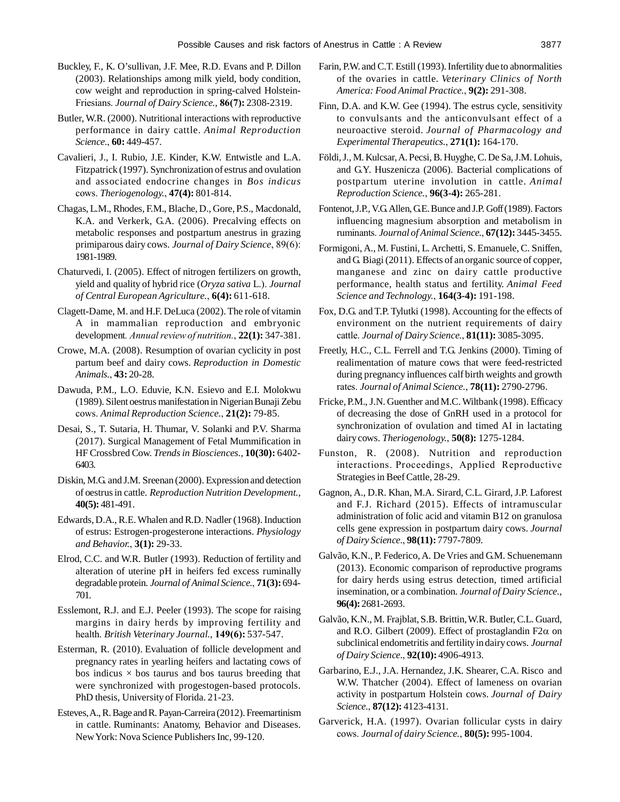- Buckley, F., K. O'sullivan, J.F. Mee, R.D. Evans and P. Dillon (2003). Relationships among milk yield, body condition, cow weight and reproduction in spring-calved Holstein-Friesians. *Journal of Dairy Science.*, **86(7):** 2308-2319.
- Butler, W.R. (2000). Nutritional interactions with reproductive performance in dairy cattle. *Animal Reproduction Science.*, **60:** 449-457.
- Cavalieri, J., I. Rubio, J.E. Kinder, K.W. Entwistle and L.A. Fitzpatrick (1997). Synchronization of estrus and ovulation and associated endocrine changes in *Bos indicus* cows. *Theriogenology.*, **47(4):** 801-814.
- Chagas, L.M., Rhodes, F.M., Blache, D., Gore, P.S., Macdonald, K.A. and Verkerk, G.A. (2006). Precalving effects on metabolic responses and postpartum anestrus in grazing primiparous dairy cows. *Journal of Dairy Science*, 89(6): 1981-1989.
- Chaturvedi, I. (2005). Effect of nitrogen fertilizers on growth, yield and quality of hybrid rice (*Oryza sativa* L.). *Journal of Central European Agriculture.*, **6(4):** 611-618.
- Clagett-Dame, M. and H.F. DeLuca (2002). The role of vitamin A in mammalian reproduction and embryonic development*. Annual review of nutrition.*, **22(1):** 347-381.
- Crowe, M.A. (2008). Resumption of ovarian cyclicity in post partum beef and dairy cows. *Reproduction in Domestic Animals.*, **43:** 20-28.
- Dawuda, P.M., L.O. Eduvie, K.N. Esievo and E.I. Molokwu (1989). Silent oestrus manifestation in Nigerian Bunaji Zebu cows. *Animal Reproduction Science.*, **21(2):** 79-85.
- Desai, S., T. Sutaria, H. Thumar, V. Solanki and P.V. Sharma (2017). Surgical Management of Fetal Mummification in HF Crossbred Cow. *Trends in Biosciences.,* **10(30):** 6402- 6403.
- Diskin, M.G. and J.M. Sreenan (2000). Expression and detection of oestrus in cattle. *Reproduction Nutrition Development.*, **40(5):** 481-491.
- Edwards, D.A., R.E. Whalen and R.D. Nadler (1968). Induction of estrus: Estrogen-progesterone interactions. *Physiology and Behavior.*, **3(1):** 29-33.
- Elrod, C.C. and W.R. Butler (1993). Reduction of fertility and alteration of uterine pH in heifers fed excess ruminally degradable protein. *Journal of Animal Science.*, **71(3):** 694- 701.
- Esslemont, R.J. and E.J. Peeler (1993). The scope for raising margins in dairy herds by improving fertility and health. *British Veterinary Journal.*, **149(6):** 537-547.
- Esterman, R. (2010). Evaluation of follicle development and pregnancy rates in yearling heifers and lactating cows of bos indicus  $\times$  bos taurus and bos taurus breeding that were synchronized with progestogen-based protocols. PhD thesis, University of Florida. 21-23.
- Esteves, A., R. Bage and R. Payan-Carreira (2012). Freemartinism in cattle. Ruminants: Anatomy, Behavior and Diseases. New York: Nova Science Publishers Inc, 99-120.
- Farin, P.W. and C.T. Estill (1993). Infertility due to abnormalities of the ovaries in cattle. *Veterinary Clinics of North America: Food Animal Practice.*, **9(2):** 291-308.
- Finn, D.A. and K.W. Gee (1994). The estrus cycle, sensitivity to convulsants and the anticonvulsant effect of a neuroactive steroid. *Journal of Pharmacology and Experimental Therapeutics.*, **271(1):** 164-170.
- Földi, J., M. Kulcsar, A. Pecsi, B. Huyghe, C. De Sa, J.M. Lohuis, and G.Y. Huszenicza (2006). Bacterial complications of postpartum uterine involution in cattle. *Animal Reproduction Science.*, **96(3-4):** 265-281.
- Fontenot, J.P., V.G. Allen, G.E. Bunce and J.P. Goff (1989). Factors influencing magnesium absorption and metabolism in ruminants. *Journal of Animal Science.*, **67(12):** 3445-3455.
- Formigoni, A., M. Fustini, L. Archetti, S. Emanuele, C. Sniffen, and G. Biagi (2011). Effects of an organic source of copper, manganese and zinc on dairy cattle productive performance, health status and fertility. *Animal Feed Science and Technology.*, **164(3-4):** 191-198.
- Fox, D.G. and T.P. Tylutki (1998). Accounting for the effects of environment on the nutrient requirements of dairy cattle. *Journal of Dairy Science.*, **81(11):** 3085-3095.
- Freetly, H.C., C.L. Ferrell and T.G. Jenkins (2000). Timing of realimentation of mature cows that were feed-restricted during pregnancy influences calf birth weights and growth rates. *Journal of Animal Science.*, **78(11):** 2790-2796.
- Fricke, P.M., J.N. Guenther and M.C. Wiltbank (1998). Efficacy of decreasing the dose of GnRH used in a protocol for synchronization of ovulation and timed AI in lactating dairy cows. *Theriogenology.*, **50(8):** 1275-1284.
- Funston, R. (2008). Nutrition and reproduction interactions. Proceedings, Applied Reproductive Strategies in Beef Cattle, 28-29.
- Gagnon, A., D.R. Khan, M.A. Sirard, C.L. Girard, J.P. Laforest and F.J. Richard (2015). Effects of intramuscular administration of folic acid and vitamin B12 on granulosa cells gene expression in postpartum dairy cows. *Journal of Dairy Science.*, **98(11):** 7797-7809.
- Galvão, K.N., P. Federico, A. De Vries and G.M. Schuenemann (2013). Economic comparison of reproductive programs for dairy herds using estrus detection, timed artificial insemination, or a combination. *Journal of Dairy Science.*, **96(4):** 2681-2693.
- Galvão, K.N., M. Frajblat, S.B. Brittin, W.R. Butler, C.L. Guard, and R.O. Gilbert (2009). Effect of prostaglandin F2 $\alpha$  on subclinical endometritis and fertility in dairy cows. *Journal of Dairy Science.*, **92(10):** 4906-4913.
- Garbarino, E.J., J.A. Hernandez, J.K. Shearer, C.A. Risco and W.W. Thatcher (2004). Effect of lameness on ovarian activity in postpartum Holstein cows. *Journal of Dairy Science.*, **87(12):** 4123-4131.
- Garverick, H.A. (1997). Ovarian follicular cysts in dairy cows. *Journal of dairy Science.*, **80(5):** 995-1004.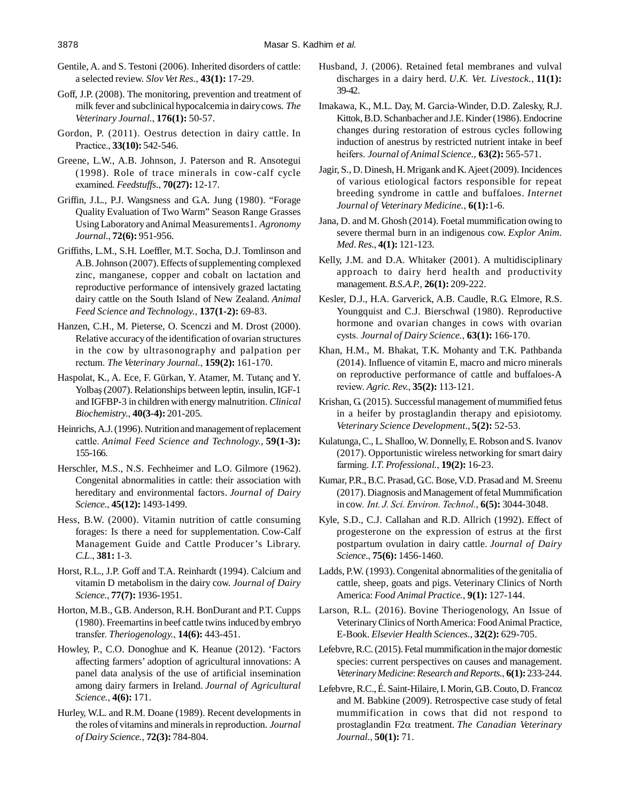- Gentile, A. and S. Testoni (2006). Inherited disorders of cattle: a selected review. *Slov Vet Res.*, **43(1):** 17-29.
- Goff, J.P. (2008). The monitoring, prevention and treatment of milk fever and subclinical hypocalcemia in dairy cows. *The Veterinary Journal.*, **176(1):** 50-57.
- Gordon, P. (2011). Oestrus detection in dairy cattle. In Practice., **33(10):** 542-546.
- Greene, L.W., A.B. Johnson, J. Paterson and R. Ansotegui (1998). Role of trace minerals in cow-calf cycle examined. *Feedstuffs.*, **70(27):** 12-17.
- Griffin, J.L., P.J. Wangsness and G.A. Jung (1980). "Forage Quality Evaluation of Two Warm" Season Range Grasses Using Laboratory and Animal Measurements1. *Agronomy Journal.*, **72(6):** 951-956.
- Griffiths, L.M., S.H. Loeffler, M.T. Socha, D.J. Tomlinson and A.B. Johnson (2007). Effects of supplementing complexed zinc, manganese, copper and cobalt on lactation and reproductive performance of intensively grazed lactating dairy cattle on the South Island of New Zealand. *Animal Feed Science and Technology.*, **137(1-2):** 69-83.
- Hanzen, C.H., M. Pieterse, O. Scenczi and M. Drost (2000). Relative accuracy of the identification of ovarian structures in the cow by ultrasonography and palpation per rectum. *The Veterinary Journal.*, **159(2):** 161-170.
- Haspolat, K., A. Ece, F. Gürkan, Y. Atamer, M. Tutanç and Y. Yolbaş (2007). Relationships between leptin, insulin, IGF-1 and IGFBP-3 in children with energy malnutrition. *Clinical Biochemistry.*, **40(3-4):** 201-205.
- Heinrichs, A.J. (1996). Nutrition and management of replacement cattle. *Animal Feed Science and Technology.,* **59(1-3):** 155-166.
- Herschler, M.S., N.S. Fechheimer and L.O. Gilmore (1962). Congenital abnormalities in cattle: their association with hereditary and environmental factors. *Journal of Dairy Science.*, **45(12):** 1493-1499.
- Hess, B.W. (2000). Vitamin nutrition of cattle consuming forages: Is there a need for supplementation. Cow-Calf Management Guide and Cattle Producer's Library. *C.L*., **381:** 1-3.
- Horst, R.L., J.P. Goff and T.A. Reinhardt (1994). Calcium and vitamin D metabolism in the dairy cow. *Journal of Dairy Science.*, **77(7):** 1936-1951.
- Horton, M.B., G.B. Anderson, R.H. BonDurant and P.T. Cupps (1980). Freemartins in beef cattle twins induced by embryo transfer. *Theriogenology.*, **14(6):** 443-451.
- Howley, P., C.O. Donoghue and K. Heanue (2012). 'Factors affecting farmers' adoption of agricultural innovations: A panel data analysis of the use of artificial insemination among dairy farmers in Ireland. *Journal of Agricultural Science.*, **4(6):** 171.
- Hurley, W.L. and R.M. Doane (1989). Recent developments in the roles of vitamins and minerals in reproduction. *Journal of Dairy Science.*, **72(3):** 784-804.
- Husband, J. (2006). Retained fetal membranes and vulval discharges in a dairy herd. *U.K. Vet. Livestock.*, **11(1):** 39-42.
- Imakawa, K., M.L. Day, M. Garcia-Winder, D.D. Zalesky, R.J. Kittok, B.D. Schanbacher and J.E. Kinder (1986). Endocrine changes during restoration of estrous cycles following induction of anestrus by restricted nutrient intake in beef heifers. *Journal of Animal Science.,* **63(2):** 565-571.
- Jagir, S., D. Dinesh, H. Mrigank and K. Ajeet (2009). Incidences of various etiological factors responsible for repeat breeding syndrome in cattle and buffaloes. *Internet Journal of Veterinary Medicine.*, **6(1):**1-6.
- Jana, D. and M. Ghosh (2014). Foetal mummification owing to severe thermal burn in an indigenous cow. *Explor Anim. Med. Res.*, **4(1):** 121-123.
- Kelly, J.M. and D.A. Whitaker (2001). A multidisciplinary approach to dairy herd health and productivity management. *B.S.A.P.*, **26(1):** 209-222.
- Kesler, D.J., H.A. Garverick, A.B. Caudle, R.G. Elmore, R.S. Youngquist and C.J. Bierschwal (1980). Reproductive hormone and ovarian changes in cows with ovarian cysts. *Journal of Dairy Science.*, **63(1):** 166-170.
- Khan, H.M., M. Bhakat, T.K. Mohanty and T.K. Pathbanda (2014). Influence of vitamin E, macro and micro minerals on reproductive performance of cattle and buffaloes-A review. *Agric. Rev.*, **35(2):** 113-121.
- Krishan, G. (2015). Successful management of mummified fetus in a heifer by prostaglandin therapy and episiotomy. *Veterinary Science Development*., **5(2):** 52-53.
- Kulatunga, C., L. Shalloo, W. Donnelly, E. Robson and S. Ivanov (2017). Opportunistic wireless networking for smart dairy farming. *I.T. Professional.*, **19(2):** 16-23.
- Kumar, P.R., B.C. Prasad, G.C. Bose, V.D. Prasad and M. Sreenu (2017). Diagnosis and Management of fetal Mummification in cow*. Int. J. Sci. Environ. Technol.*, **6(5):** 3044-3048.
- Kyle, S.D., C.J. Callahan and R.D. Allrich (1992). Effect of progesterone on the expression of estrus at the first postpartum ovulation in dairy cattle. *Journal of Dairy Science.*, **75(6):** 1456-1460.
- Ladds, P.W. (1993). Congenital abnormalities of the genitalia of cattle, sheep, goats and pigs. Veterinary Clinics of North America: *Food Animal Practice.*, **9(1):** 127-144.
- Larson, R.L. (2016). Bovine Theriogenology, An Issue of Veterinary Clinics of North America: Food Animal Practice, E-Book. *Elsevier Health Sciences.*, **32(2):** 629-705.
- Lefebvre, R.C. (2015). Fetal mummification in the major domestic species: current perspectives on causes and management. *Veterinary Medicine*: *Research and Reports.*, **6(1):** 233-244.
- Lefebvre, R.C., É. Saint-Hilaire, I. Morin, G.B. Couto, D. Francoz and M. Babkine (2009). Retrospective case study of fetal mummification in cows that did not respond to prostaglandin F2α treatment. *The Canadian Veterinary Journal.*, **50(1):** 71.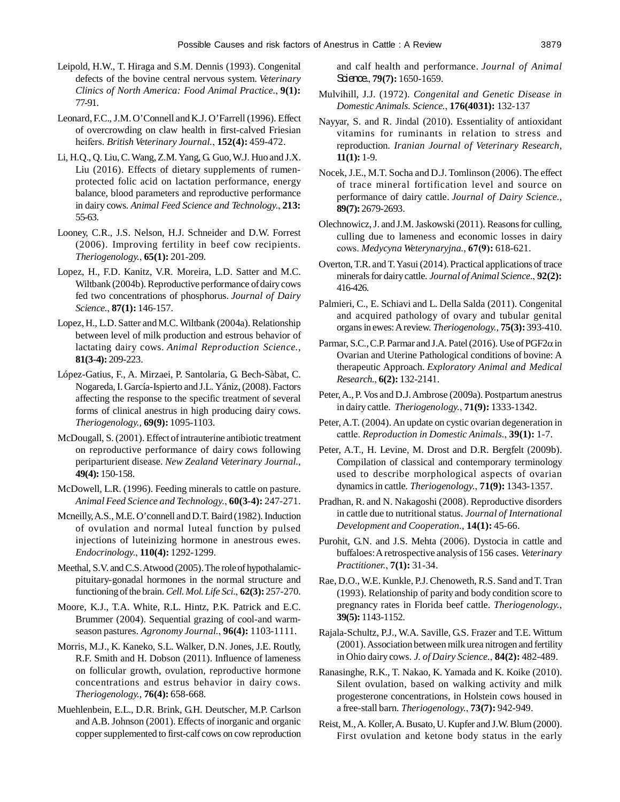- Leipold, H.W., T. Hiraga and S.M. Dennis (1993). Congenital defects of the bovine central nervous system. *Veterinary Clinics of North America: Food Animal Practice.*, **9(1):** 77-91.
- Leonard, F.C., J.M. O'Connell and K.J. O'Farrell (1996). Effect of overcrowding on claw health in first-calved Friesian heifers. *British Veterinary Journal.*, **152(4):** 459-472.
- Li, H.Q., Q. Liu, C. Wang, Z.M. Yang, G. Guo, W.J. Huo and J.X. Liu (2016). Effects of dietary supplements of rumenprotected folic acid on lactation performance, energy balance, blood parameters and reproductive performance in dairy cows. *Animal Feed Science and Technology.*, **213:** 55-63.
- Looney, C.R., J.S. Nelson, H.J. Schneider and D.W. Forrest (2006). Improving fertility in beef cow recipients. *Theriogenology.*, **65(1):** 201-209.
- Lopez, H., F.D. Kanitz, V.R. Moreira, L.D. Satter and M.C. Wiltbank (2004b). Reproductive performance of dairy cows fed two concentrations of phosphorus. *Journal of Dairy Science.*, **87(1):** 146-157.
- Lopez, H., L.D. Satter and M.C. Wiltbank (2004a). Relationship between level of milk production and estrous behavior of lactating dairy cows. *Animal Reproduction Science.*, **81(3-4):** 209-223.
- López-Gatius, F., A. Mirzaei, P. Santolaria, G. Bech-Sàbat, C. Nogareda, I. García-Ispierto and J.L. Yániz, (2008). Factors affecting the response to the specific treatment of several forms of clinical anestrus in high producing dairy cows. *Theriogenology.,* **69(9):** 1095-1103.
- McDougall, S. (2001). Effect of intrauterine antibiotic treatment on reproductive performance of dairy cows following periparturient disease. *New Zealand Veterinary Journal.*, **49(4):** 150-158.
- McDowell, L.R. (1996). Feeding minerals to cattle on pasture. *Animal Feed Science and Technology.*, **60(3-4):** 247-271.
- Mcneilly, A.S., M.E. O'connell and D.T. Baird (1982). Induction of ovulation and normal luteal function by pulsed injections of luteinizing hormone in anestrous ewes. *Endocrinology.*, **110(4):** 1292-1299.
- Meethal, S.V. and C.S. Atwood (2005). The role of hypothalamicpituitary-gonadal hormones in the normal structure and functioning of the brain. *Cell. Mol. Life Sci.*, **62(3):** 257-270.
- Moore, K.J., T.A. White, R.L. Hintz, P.K. Patrick and E.C. Brummer (2004). Sequential grazing of cool-and warmseason pastures. *Agronomy Journal.*, **96(4):** 1103-1111.
- Morris, M.J., K. Kaneko, S.L. Walker, D.N. Jones, J.E. Routly, R.F. Smith and H. Dobson (2011). Influence of lameness on follicular growth, ovulation, reproductive hormone concentrations and estrus behavior in dairy cows. *Theriogenology.*, **76(4):** 658-668.
- Muehlenbein, E.L., D.R. Brink, G.H. Deutscher, M.P. Carlson and A.B. Johnson (2001). Effects of inorganic and organic copper supplemented to first-calf cows on cow reproduction

and calf health and performance. *Journal of Animal* Science., **79(7):** 1650-1659.

- Mulvihill, J.J. (1972). *Congenital and Genetic Disease in Domestic Animals. Science.*, **176(4031):** 132-137
- Nayyar, S. and R. Jindal (2010). Essentiality of antioxidant vitamins for ruminants in relation to stress and reproduction. *Iranian Journal of Veterinary Research*, **11(1):** 1-9.
- Nocek, J.E., M.T. Socha and D.J. Tomlinson (2006). The effect of trace mineral fortification level and source on performance of dairy cattle. *Journal of Dairy Science.*, **89(7):** 2679-2693.
- Olechnowicz, J. and J.M. Jaskowski (2011). Reasons for culling, culling due to lameness and economic losses in dairy cows. *Medycyna Weterynaryjna.*, **67(9):** 618-621.
- Overton, T.R. and T. Yasui (2014). Practical applications of trace minerals for dairy cattle. *Journal of Animal Science.*, **92(2):** 416-426.
- Palmieri, C., E. Schiavi and L. Della Salda (2011). Congenital and acquired pathology of ovary and tubular genital organs in ewes: A review. *Theriogenology.,* **75(3):** 393-410.
- Parmar, S.C., C.P. Parmar and J.A. Patel (2016). Use of  $PGF2\alpha$  in Ovarian and Uterine Pathological conditions of bovine: A therapeutic Approach. *Exploratory Animal and Medical Research.*, **6(2):** 132-2141.
- Peter, A., P. Vos and D.J. Ambrose (2009a). Postpartum anestrus in dairy cattle. *Theriogenology.*, **71(9):** 1333-1342.
- Peter, A.T. (2004). An update on cystic ovarian degeneration in cattle. *Reproduction in Domestic Animals.*, **39(1):** 1-7.
- Peter, A.T., H. Levine, M. Drost and D.R. Bergfelt (2009b). Compilation of classical and contemporary terminology used to describe morphological aspects of ovarian dynamics in cattle. *Theriogenology.*, **71(9):** 1343-1357.
- Pradhan, R. and N. Nakagoshi (2008). Reproductive disorders in cattle due to nutritional status. *Journal of International Development and Cooperation.,* **14(1):** 45-66.
- Purohit, G.N. and J.S. Mehta (2006). Dystocia in cattle and buffaloes: A retrospective analysis of 156 cases. *Veterinary Practitioner.*, **7(1):** 31-34.
- Rae, D.O., W.E. Kunkle, P.J. Chenoweth, R.S. Sand and T. Tran (1993). Relationship of parity and body condition score to pregnancy rates in Florida beef cattle. *Theriogenology.*, **39(5):** 1143-1152.
- Rajala-Schultz, P.J., W.A. Saville, G.S. Frazer and T.E. Wittum (2001). Association between milk urea nitrogen and fertility in Ohio dairy cows. *J. of Dairy Science.*, **84(2):** 482-489.
- Ranasinghe, R.K., T. Nakao, K. Yamada and K. Koike (2010). Silent ovulation, based on walking activity and milk progesterone concentrations, in Holstein cows housed in a free-stall barn. *Theriogenology.*, **73(7):** 942-949.
- Reist, M., A. Koller, A. Busato, U. Kupfer and J.W. Blum (2000). First ovulation and ketone body status in the early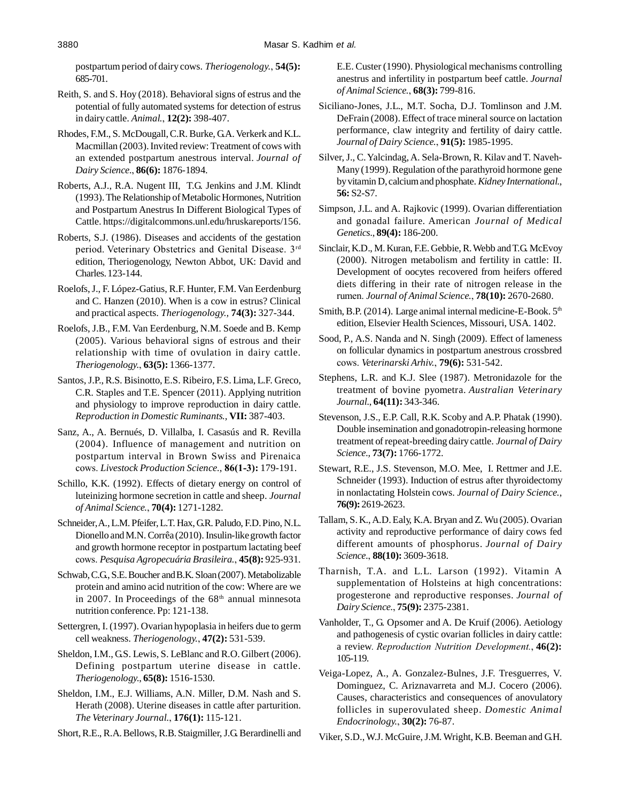postpartum period of dairy cows. *Theriogenology.*, **54(5):** 685-701.

- Reith, S. and S. Hoy (2018). Behavioral signs of estrus and the potential of fully automated systems for detection of estrus in dairy cattle. *Animal.*, **12(2):** 398-407.
- Rhodes, F.M., S. McDougall, C.R. Burke, G.A. Verkerk and K.L. Macmillan (2003). Invited review: Treatment of cows with an extended postpartum anestrous interval. *Journal of Dairy Science.*, **86(6):** 1876-1894.
- Roberts, A.J., R.A. Nugent III, T.G. Jenkins and J.M. Klindt (1993). The Relationship of Metabolic Hormones, Nutrition and Postpartum Anestrus In Different Biological Types of Cattle. https://digitalcommons.unl.edu/hruskareports/156.
- Roberts, S.J. (1986). Diseases and accidents of the gestation period. Veterinary Obstetrics and Genital Disease. 3rd edition, Theriogenology, Newton Abbot, UK: David and Charles. 123-144.
- Roelofs, J., F. López-Gatius, R.F. Hunter, F.M. Van Eerdenburg and C. Hanzen (2010). When is a cow in estrus? Clinical and practical aspects. *Theriogenology.,* **74(3):** 327-344.
- Roelofs, J.B., F.M. Van Eerdenburg, N.M. Soede and B. Kemp (2005). Various behavioral signs of estrous and their relationship with time of ovulation in dairy cattle. *Theriogenology.*, **63(5):** 1366-1377.
- Santos, J.P., R.S. Bisinotto, E.S. Ribeiro, F.S. Lima, L.F. Greco, C.R. Staples and T.E. Spencer (2011). Applying nutrition and physiology to improve reproduction in dairy cattle. *Reproduction in Domestic Ruminants.,* **VII:** 387-403.
- Sanz, A., A. Bernués, D. Villalba, I. Casasús and R. Revilla (2004). Influence of management and nutrition on postpartum interval in Brown Swiss and Pirenaica cows. *Livestock Production Science.*, **86(1-3):** 179-191.
- Schillo, K.K. (1992). Effects of dietary energy on control of luteinizing hormone secretion in cattle and sheep. *Journal of Animal Science.*, **70(4):** 1271-1282.
- Schneider, A., L.M. Pfeifer, L.T. Hax, G.R. Paludo, F.D. Pino, N.L. Dionello and M.N. Corrêa (2010). Insulin-like growth factor and growth hormone receptor in postpartum lactating beef cows. *Pesquisa Agropecuária Brasileira.*, **45(8):** 925-931.
- Schwab, C.G., S.E. Boucher and B.K. Sloan (2007). Metabolizable protein and amino acid nutrition of the cow: Where are we in 2007. In Proceedings of the  $68<sup>th</sup>$  annual minnesota nutrition conference. Pp: 121-138.
- Settergren, I. (1997). Ovarian hypoplasia in heifers due to germ cell weakness. *Theriogenology.*, **47(2):** 531-539.
- Sheldon, I.M., G.S. Lewis, S. LeBlanc and R.O. Gilbert (2006). Defining postpartum uterine disease in cattle. *Theriogenology.*, **65(8):** 1516-1530.
- Sheldon, I.M., E.J. Williams, A.N. Miller, D.M. Nash and S. Herath (2008). Uterine diseases in cattle after parturition. *The Veterinary Journal.*, **176(1):** 115-121.
- Short, R.E., R.A. Bellows, R.B. Staigmiller, J.G. Berardinelli and

E.E. Custer (1990). Physiological mechanisms controlling anestrus and infertility in postpartum beef cattle. *Journal of Animal Science.*, **68(3):** 799-816.

- Siciliano-Jones, J.L., M.T. Socha, D.J. Tomlinson and J.M. DeFrain (2008). Effect of trace mineral source on lactation performance, claw integrity and fertility of dairy cattle. *Journal of Dairy Science.*, **91(5):** 1985-1995.
- Silver, J., C. Yalcindag, A. Sela-Brown, R. Kilav and T. Naveh-Many (1999). Regulation of the parathyroid hormone gene by vitamin D, calcium and phosphate. *Kidney International.*, **56:** S2-S7.
- Simpson, J.L. and A. Rajkovic (1999). Ovarian differentiation and gonadal failure. American *Journal of Medical Genetics.*, **89(4):** 186-200.
- Sinclair, K.D., M. Kuran, F.E. Gebbie, R. Webb and T.G. McEvoy (2000). Nitrogen metabolism and fertility in cattle: II. Development of oocytes recovered from heifers offered diets differing in their rate of nitrogen release in the rumen. *Journal of Animal Science.*, **78(10):** 2670-2680.
- Smith, B.P. (2014). Large animal internal medicine-E-Book.  $5<sup>th</sup>$ edition, Elsevier Health Sciences, Missouri, USA. 1402.
- Sood, P., A.S. Nanda and N. Singh (2009). Effect of lameness on follicular dynamics in postpartum anestrous crossbred cows. *Veterinarski Arhiv.*, **79(6):** 531-542.
- Stephens, L.R. and K.J. Slee (1987). Metronidazole for the treatment of bovine pyometra. *Australian Veterinary Journal.*, **64(11):** 343-346.
- Stevenson, J.S., E.P. Call, R.K. Scoby and A.P. Phatak (1990). Double insemination and gonadotropin-releasing hormone treatment of repeat-breeding dairy cattle. *Journal of Dairy Science.,* **73(7):** 1766-1772.
- Stewart, R.E., J.S. Stevenson, M.O. Mee, I. Rettmer and J.E. Schneider (1993). Induction of estrus after thyroidectomy in nonlactating Holstein cows. *Journal of Dairy Science.*, **76(9):** 2619-2623.
- Tallam, S. K., A.D. Ealy, K.A. Bryan and Z. Wu (2005). Ovarian activity and reproductive performance of dairy cows fed different amounts of phosphorus. *Journal of Dairy Science.*, **88(10):** 3609-3618.
- Tharnish, T.A. and L.L. Larson (1992). Vitamin A supplementation of Holsteins at high concentrations: progesterone and reproductive responses. *Journal of Dairy Science.*, **75(9):** 2375-2381.
- Vanholder, T., G. Opsomer and A. De Kruif (2006). Aetiology and pathogenesis of cystic ovarian follicles in dairy cattle: a review*. Reproduction Nutrition Development.*, **46(2):** 105-119.
- Veiga-Lopez, A., A. Gonzalez-Bulnes, J.F. Tresguerres, V. Dominguez, C. Ariznavarreta and M.J. Cocero (2006). Causes, characteristics and consequences of anovulatory follicles in superovulated sheep. *Domestic Animal Endocrinology.*, **30(2):** 76-87.
- Viker, S.D., W.J. McGuire, J.M. Wright, K.B. Beeman and G.H.